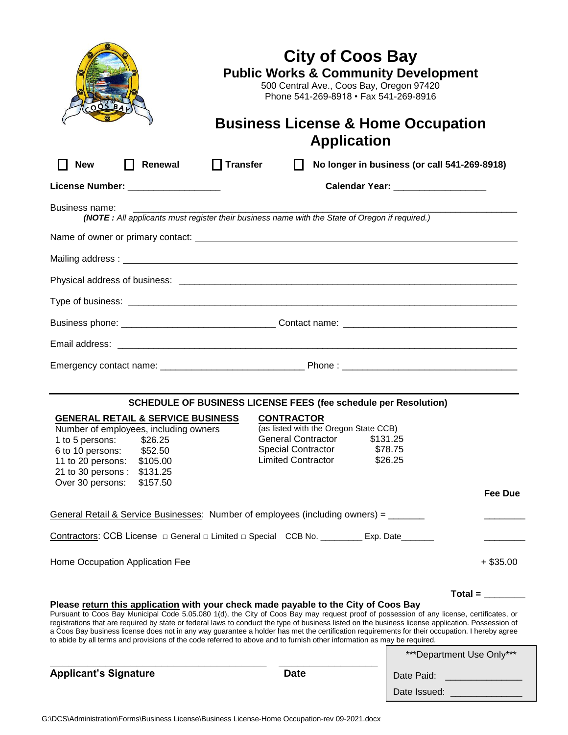| $\Box$ Transfer<br><b>New</b><br>Renewal<br>No longer in business (or call 541-269-8918)<br>$\mathbf{L}$<br>Calendar Year: __________________<br>License Number: ___________________<br>Business name:<br>(NOTE: All applicants must register their business name with the State of Oregon if required.)<br>Mailing address: <u>National American Communication</u> Communication Communication Communication Communication Communication<br>SCHEDULE OF BUSINESS LICENSE FEES (fee schedule per Resolution)<br><b>GENERAL RETAIL &amp; SERVICE BUSINESS</b><br><b>CONTRACTOR</b><br>(as listed with the Oregon State CCB)<br>Number of employees, including owners<br>General Contractor \$131.25<br>1 to 5 persons:<br>\$26.25<br>Special Contractor \$78.75<br>6 to 10 persons: \$52.50<br><b>Limited Contractor</b><br>\$26.25<br>\$105.00<br>11 to 20 persons:<br>21 to 30 persons :<br>\$131.25<br>Over 30 persons:<br>\$157.50<br>Fee Due<br>General Retail & Service Businesses: Number of employees (including owners) = _______<br>Contractors: CCB License □ General □ Limited □ Special CCB No. ________ Exp. Date______<br>$+$ \$35.00<br>Total = $\frac{1}{2}$<br>Please return this application with your check made payable to the City of Coos Bay<br>Pursuant to Coos Bay Municipal Code 5.05.080 1(d), the City of Coos Bay may request proof of possession of any license, certificates, or<br>registrations that are required by state or federal laws to conduct the type of business listed on the business license application. Possession of<br>a Coos Bay business license does not in any way guarantee a holder has met the certification requirements for their occupation. I hereby agree<br>to abide by all terms and provisions of the code referred to above and to furnish other information as may be required. | $-005BAV$                       | <b>City of Coos Bay</b><br>500 Central Ave., Coos Bay, Oregon 97420<br>Phone 541-269-8918 · Fax 541-269-8916<br><b>Application</b> | <b>Public Works &amp; Community Development</b><br><b>Business License &amp; Home Occupation</b> |
|----------------------------------------------------------------------------------------------------------------------------------------------------------------------------------------------------------------------------------------------------------------------------------------------------------------------------------------------------------------------------------------------------------------------------------------------------------------------------------------------------------------------------------------------------------------------------------------------------------------------------------------------------------------------------------------------------------------------------------------------------------------------------------------------------------------------------------------------------------------------------------------------------------------------------------------------------------------------------------------------------------------------------------------------------------------------------------------------------------------------------------------------------------------------------------------------------------------------------------------------------------------------------------------------------------------------------------------------------------------------------------------------------------------------------------------------------------------------------------------------------------------------------------------------------------------------------------------------------------------------------------------------------------------------------------------------------------------------------------------------------------------------------------------------------------------------------------------------------|---------------------------------|------------------------------------------------------------------------------------------------------------------------------------|--------------------------------------------------------------------------------------------------|
|                                                                                                                                                                                                                                                                                                                                                                                                                                                                                                                                                                                                                                                                                                                                                                                                                                                                                                                                                                                                                                                                                                                                                                                                                                                                                                                                                                                                                                                                                                                                                                                                                                                                                                                                                                                                                                                    |                                 |                                                                                                                                    |                                                                                                  |
|                                                                                                                                                                                                                                                                                                                                                                                                                                                                                                                                                                                                                                                                                                                                                                                                                                                                                                                                                                                                                                                                                                                                                                                                                                                                                                                                                                                                                                                                                                                                                                                                                                                                                                                                                                                                                                                    |                                 |                                                                                                                                    |                                                                                                  |
|                                                                                                                                                                                                                                                                                                                                                                                                                                                                                                                                                                                                                                                                                                                                                                                                                                                                                                                                                                                                                                                                                                                                                                                                                                                                                                                                                                                                                                                                                                                                                                                                                                                                                                                                                                                                                                                    |                                 |                                                                                                                                    |                                                                                                  |
|                                                                                                                                                                                                                                                                                                                                                                                                                                                                                                                                                                                                                                                                                                                                                                                                                                                                                                                                                                                                                                                                                                                                                                                                                                                                                                                                                                                                                                                                                                                                                                                                                                                                                                                                                                                                                                                    |                                 |                                                                                                                                    |                                                                                                  |
|                                                                                                                                                                                                                                                                                                                                                                                                                                                                                                                                                                                                                                                                                                                                                                                                                                                                                                                                                                                                                                                                                                                                                                                                                                                                                                                                                                                                                                                                                                                                                                                                                                                                                                                                                                                                                                                    |                                 |                                                                                                                                    |                                                                                                  |
|                                                                                                                                                                                                                                                                                                                                                                                                                                                                                                                                                                                                                                                                                                                                                                                                                                                                                                                                                                                                                                                                                                                                                                                                                                                                                                                                                                                                                                                                                                                                                                                                                                                                                                                                                                                                                                                    |                                 |                                                                                                                                    |                                                                                                  |
|                                                                                                                                                                                                                                                                                                                                                                                                                                                                                                                                                                                                                                                                                                                                                                                                                                                                                                                                                                                                                                                                                                                                                                                                                                                                                                                                                                                                                                                                                                                                                                                                                                                                                                                                                                                                                                                    |                                 |                                                                                                                                    |                                                                                                  |
|                                                                                                                                                                                                                                                                                                                                                                                                                                                                                                                                                                                                                                                                                                                                                                                                                                                                                                                                                                                                                                                                                                                                                                                                                                                                                                                                                                                                                                                                                                                                                                                                                                                                                                                                                                                                                                                    |                                 |                                                                                                                                    |                                                                                                  |
|                                                                                                                                                                                                                                                                                                                                                                                                                                                                                                                                                                                                                                                                                                                                                                                                                                                                                                                                                                                                                                                                                                                                                                                                                                                                                                                                                                                                                                                                                                                                                                                                                                                                                                                                                                                                                                                    |                                 |                                                                                                                                    |                                                                                                  |
|                                                                                                                                                                                                                                                                                                                                                                                                                                                                                                                                                                                                                                                                                                                                                                                                                                                                                                                                                                                                                                                                                                                                                                                                                                                                                                                                                                                                                                                                                                                                                                                                                                                                                                                                                                                                                                                    |                                 |                                                                                                                                    |                                                                                                  |
|                                                                                                                                                                                                                                                                                                                                                                                                                                                                                                                                                                                                                                                                                                                                                                                                                                                                                                                                                                                                                                                                                                                                                                                                                                                                                                                                                                                                                                                                                                                                                                                                                                                                                                                                                                                                                                                    |                                 |                                                                                                                                    |                                                                                                  |
|                                                                                                                                                                                                                                                                                                                                                                                                                                                                                                                                                                                                                                                                                                                                                                                                                                                                                                                                                                                                                                                                                                                                                                                                                                                                                                                                                                                                                                                                                                                                                                                                                                                                                                                                                                                                                                                    |                                 |                                                                                                                                    |                                                                                                  |
|                                                                                                                                                                                                                                                                                                                                                                                                                                                                                                                                                                                                                                                                                                                                                                                                                                                                                                                                                                                                                                                                                                                                                                                                                                                                                                                                                                                                                                                                                                                                                                                                                                                                                                                                                                                                                                                    |                                 |                                                                                                                                    |                                                                                                  |
|                                                                                                                                                                                                                                                                                                                                                                                                                                                                                                                                                                                                                                                                                                                                                                                                                                                                                                                                                                                                                                                                                                                                                                                                                                                                                                                                                                                                                                                                                                                                                                                                                                                                                                                                                                                                                                                    | Home Occupation Application Fee |                                                                                                                                    |                                                                                                  |
|                                                                                                                                                                                                                                                                                                                                                                                                                                                                                                                                                                                                                                                                                                                                                                                                                                                                                                                                                                                                                                                                                                                                                                                                                                                                                                                                                                                                                                                                                                                                                                                                                                                                                                                                                                                                                                                    |                                 |                                                                                                                                    | ***Department Use Only***                                                                        |
| <b>Date</b><br>Date Paid:<br>Date Issued:                                                                                                                                                                                                                                                                                                                                                                                                                                                                                                                                                                                                                                                                                                                                                                                                                                                                                                                                                                                                                                                                                                                                                                                                                                                                                                                                                                                                                                                                                                                                                                                                                                                                                                                                                                                                          | <b>Applicant's Signature</b>    |                                                                                                                                    |                                                                                                  |